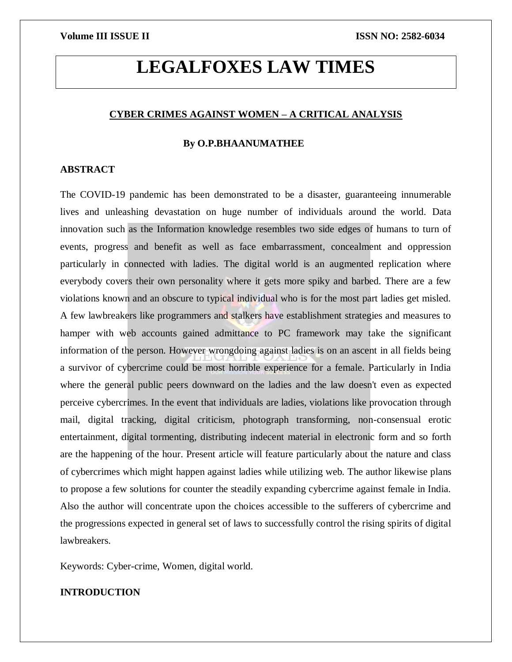# **LEGALFOXES LAW TIMES**

### **CYBER CRIMES AGAINST WOMEN – A CRITICAL ANALYSIS**

#### **By O.P.BHAANUMATHEE**

#### **ABSTRACT**

The COVID-19 pandemic has been demonstrated to be a disaster, guaranteeing innumerable lives and unleashing devastation on huge number of individuals around the world. Data innovation such as the Information knowledge resembles two side edges of humans to turn of events, progress and benefit as well as face embarrassment, concealment and oppression particularly in connected with ladies. The digital world is an augmented replication where everybody covers their own personality where it gets more spiky and barbed. There are a few violations known and an obscure to typical individual who is for the most part ladies get misled. A few lawbreakers like programmers and stalkers have establishment strategies and measures to hamper with web accounts gained admittance to PC framework may take the significant information of the person. However wrongdoing against ladies is on an ascent in all fields being a survivor of cybercrime could be most horrible experience for a female. Particularly in India where the general public peers downward on the ladies and the law doesn't even as expected perceive cybercrimes. In the event that individuals are ladies, violations like provocation through mail, digital tracking, digital criticism, photograph transforming, non-consensual erotic entertainment, digital tormenting, distributing indecent material in electronic form and so forth are the happening of the hour. Present article will feature particularly about the nature and class of cybercrimes which might happen against ladies while utilizing web. The author likewise plans to propose a few solutions for counter the steadily expanding cybercrime against female in India. Also the author will concentrate upon the choices accessible to the sufferers of cybercrime and the progressions expected in general set of laws to successfully control the rising spirits of digital lawbreakers.

Keywords: Cyber-crime, Women, digital world.

#### **INTRODUCTION**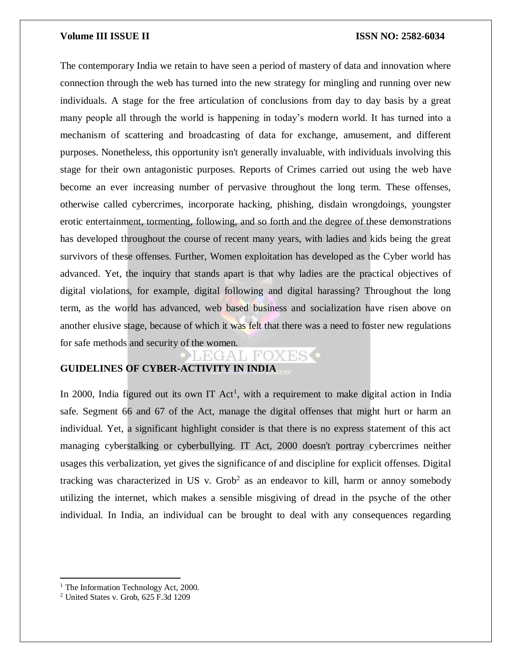The contemporary India we retain to have seen a period of mastery of data and innovation where connection through the web has turned into the new strategy for mingling and running over new individuals. A stage for the free articulation of conclusions from day to day basis by a great many people all through the world is happening in today's modern world. It has turned into a mechanism of scattering and broadcasting of data for exchange, amusement, and different purposes. Nonetheless, this opportunity isn't generally invaluable, with individuals involving this stage for their own antagonistic purposes. Reports of Crimes carried out using the web have become an ever increasing number of pervasive throughout the long term. These offenses, otherwise called cybercrimes, incorporate hacking, phishing, disdain wrongdoings, youngster erotic entertainment, tormenting, following, and so forth and the degree of these demonstrations has developed throughout the course of recent many years, with ladies and kids being the great survivors of these offenses. Further, Women exploitation has developed as the Cyber world has advanced. Yet, the inquiry that stands apart is that why ladies are the practical objectives of digital violations, for example, digital following and digital harassing? Throughout the long term, as the world has advanced, web based business and socialization have risen above on another elusive stage, because of which it was felt that there was a need to foster new regulations for safe methods and security of the women.

#### EAT, FO)

### **GUIDELINES OF CYBER-ACTIVITY IN INDIA**

In 2000, India figured out its own IT  $Act<sup>1</sup>$ , with a requirement to make digital action in India safe. Segment 66 and 67 of the Act, manage the digital offenses that might hurt or harm an individual. Yet, a significant highlight consider is that there is no express statement of this act managing cyberstalking or cyberbullying. IT Act, 2000 doesn't portray cybercrimes neither usages this verbalization, yet gives the significance of and discipline for explicit offenses. Digital tracking was characterized in US v.  $Grob<sup>2</sup>$  as an endeavor to kill, harm or annoy somebody utilizing the internet, which makes a sensible misgiving of dread in the psyche of the other individual. In India, an individual can be brought to deal with any consequences regarding

 $\overline{\phantom{a}}$ 

<sup>&</sup>lt;sup>1</sup> The Information Technology Act, 2000.

<sup>2</sup> United States v. Grob, 625 F.3d 1209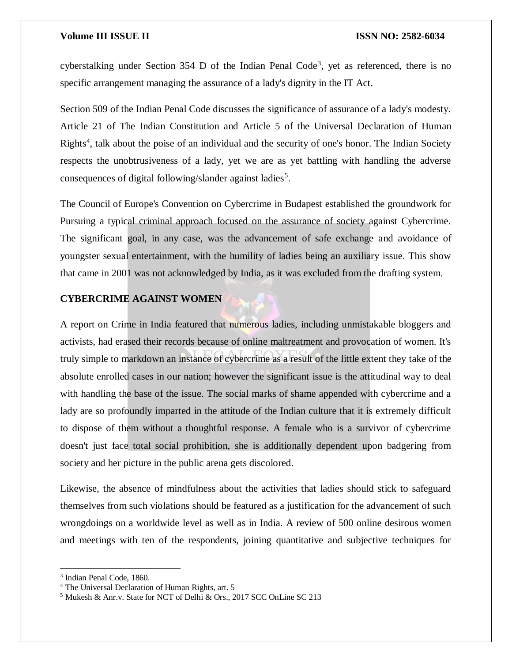cyberstalking under Section 354 D of the Indian Penal Code<sup>3</sup>, yet as referenced, there is no specific arrangement managing the assurance of a lady's dignity in the IT Act.

Section 509 of the Indian Penal Code discusses the significance of assurance of a lady's modesty. Article 21 of The Indian Constitution and Article 5 of the Universal Declaration of Human Rights<sup>4</sup>, talk about the poise of an individual and the security of one's honor. The Indian Society respects the unobtrusiveness of a lady, yet we are as yet battling with handling the adverse consequences of digital following/slander against ladies<sup>5</sup>.

The Council of Europe's Convention on Cybercrime in Budapest established the groundwork for Pursuing a typical criminal approach focused on the assurance of society against Cybercrime. The significant goal, in any case, was the advancement of safe exchange and avoidance of youngster sexual entertainment, with the humility of ladies being an auxiliary issue. This show that came in 2001 was not acknowledged by India, as it was excluded from the drafting system.

### **CYBERCRIME AGAINST WOMEN**

A report on Crime in India featured that numerous ladies, including unmistakable bloggers and activists, had erased their records because of online maltreatment and provocation of women. It's truly simple to markdown an instance of cybercrime as a result of the little extent they take of the absolute enrolled cases in our nation; however the significant issue is the attitudinal way to deal with handling the base of the issue. The social marks of shame appended with cybercrime and a lady are so profoundly imparted in the attitude of the Indian culture that it is extremely difficult to dispose of them without a thoughtful response. A female who is a survivor of cybercrime doesn't just face total social prohibition, she is additionally dependent upon badgering from society and her picture in the public arena gets discolored.

Likewise, the absence of mindfulness about the activities that ladies should stick to safeguard themselves from such violations should be featured as a justification for the advancement of such wrongdoings on a worldwide level as well as in India. A review of 500 online desirous women and meetings with ten of the respondents, joining quantitative and subjective techniques for

<sup>3</sup> Indian Penal Code, 1860.

<sup>4</sup> The Universal Declaration of Human Rights, art. 5

<sup>5</sup> Mukesh & Anr.v. State for NCT of Delhi & Ors., 2017 SCC OnLine SC 213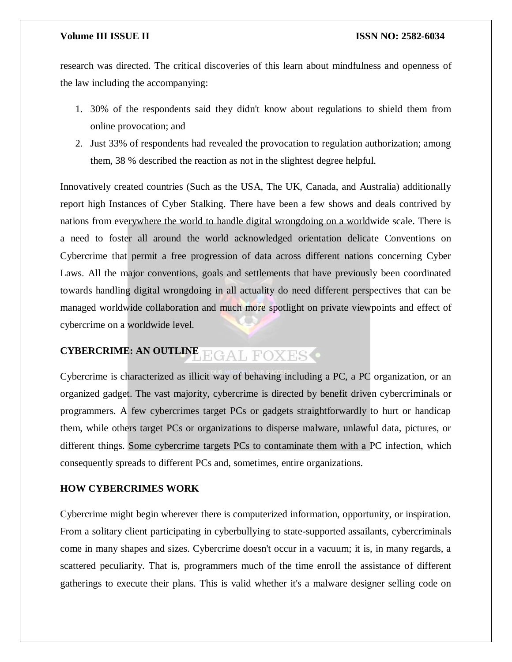research was directed. The critical discoveries of this learn about mindfulness and openness of the law including the accompanying:

- 1. 30% of the respondents said they didn't know about regulations to shield them from online provocation; and
- 2. Just 33% of respondents had revealed the provocation to regulation authorization; among them, 38 % described the reaction as not in the slightest degree helpful.

Innovatively created countries (Such as the USA, The UK, Canada, and Australia) additionally report high Instances of Cyber Stalking. There have been a few shows and deals contrived by nations from everywhere the world to handle digital wrongdoing on a worldwide scale. There is a need to foster all around the world acknowledged orientation delicate Conventions on Cybercrime that permit a free progression of data across different nations concerning Cyber Laws. All the major conventions, goals and settlements that have previously been coordinated towards handling digital wrongdoing in all actuality do need different perspectives that can be managed worldwide collaboration and much more spotlight on private viewpoints and effect of cybercrime on a worldwide level.

#### **CYBERCRIME: AN OUTLINE EGAL FOXESO**

Cybercrime is characterized as illicit way of behaving including a PC, a PC organization, or an organized gadget. The vast majority, cybercrime is directed by benefit driven cybercriminals or programmers. A few cybercrimes target PCs or gadgets straightforwardly to hurt or handicap them, while others target PCs or organizations to disperse malware, unlawful data, pictures, or different things. Some cybercrime targets PCs to contaminate them with a PC infection, which consequently spreads to different PCs and, sometimes, entire organizations.

### **HOW CYBERCRIMES WORK**

Cybercrime might begin wherever there is computerized information, opportunity, or inspiration. From a solitary client participating in cyberbullying to state-supported assailants, cybercriminals come in many shapes and sizes. Cybercrime doesn't occur in a vacuum; it is, in many regards, a scattered peculiarity. That is, programmers much of the time enroll the assistance of different gatherings to execute their plans. This is valid whether it's a malware designer selling code on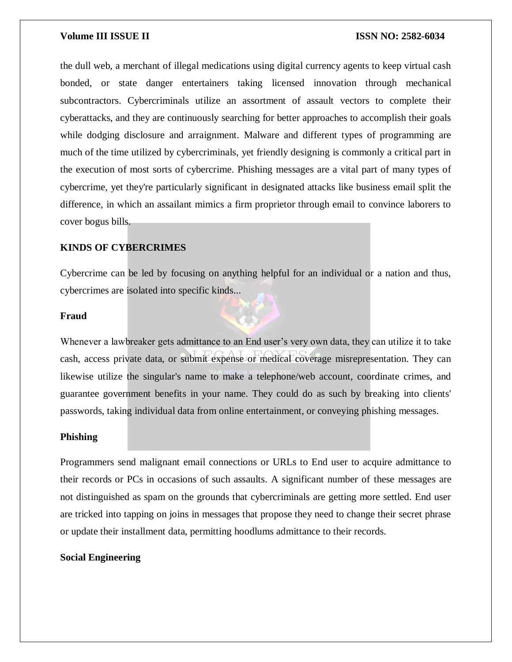the dull web, a merchant of illegal medications using digital currency agents to keep virtual cash bonded, or state danger entertainers taking licensed innovation through mechanical subcontractors. Cybercriminals utilize an assortment of assault vectors to complete their cyberattacks, and they are continuously searching for better approaches to accomplish their goals while dodging disclosure and arraignment. Malware and different types of programming are much of the time utilized by cybercriminals, yet friendly designing is commonly a critical part in the execution of most sorts of cybercrime. Phishing messages are a vital part of many types of cybercrime, yet they're particularly significant in designated attacks like business email split the difference, in which an assailant mimics a firm proprietor through email to convince laborers to cover bogus bills.

#### **KINDS OF CYBERCRIMES**

Cybercrime can be led by focusing on anything helpful for an individual or a nation and thus, cybercrimes are isolated into specific kinds...

#### **Fraud**

Whenever a lawbreaker gets admittance to an End user's very own data, they can utilize it to take cash, access private data, or submit expense or medical coverage misrepresentation. They can likewise utilize the singular's name to make a telephone/web account, coordinate crimes, and guarantee government benefits in your name. They could do as such by breaking into clients' passwords, taking individual data from online entertainment, or conveying phishing messages.

#### **Phishing**

Programmers send malignant email connections or URLs to End user to acquire admittance to their records or PCs in occasions of such assaults. A significant number of these messages are not distinguished as spam on the grounds that cybercriminals are getting more settled. End user are tricked into tapping on joins in messages that propose they need to change their secret phrase or update their installment data, permitting hoodlums admittance to their records.

### **Social Engineering**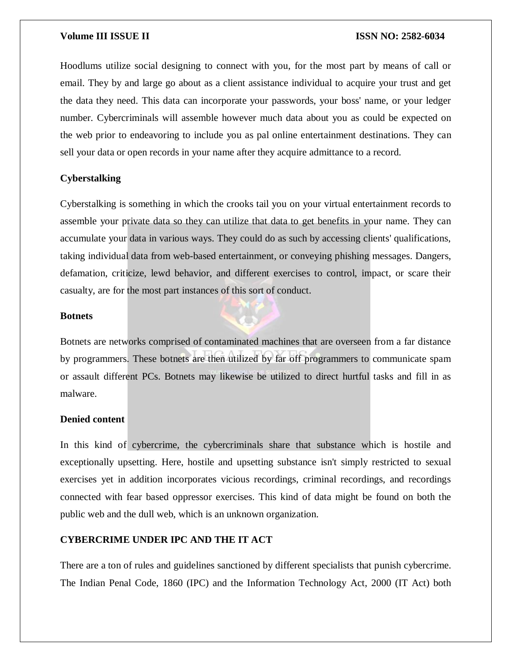Hoodlums utilize social designing to connect with you, for the most part by means of call or email. They by and large go about as a client assistance individual to acquire your trust and get the data they need. This data can incorporate your passwords, your boss' name, or your ledger number. Cybercriminals will assemble however much data about you as could be expected on the web prior to endeavoring to include you as pal online entertainment destinations. They can sell your data or open records in your name after they acquire admittance to a record.

#### **Cyberstalking**

Cyberstalking is something in which the crooks tail you on your virtual entertainment records to assemble your private data so they can utilize that data to get benefits in your name. They can accumulate your data in various ways. They could do as such by accessing clients' qualifications, taking individual data from web-based entertainment, or conveying phishing messages. Dangers, defamation, criticize, lewd behavior, and different exercises to control, impact, or scare their casualty, are for the most part instances of this sort of conduct.

#### **Botnets**

Botnets are networks comprised of contaminated machines that are overseen from a far distance by programmers. These botnets are then utilized by far off programmers to communicate spam or assault different PCs. Botnets may likewise be utilized to direct hurtful tasks and fill in as malware.

#### **Denied content**

In this kind of cybercrime, the cybercriminals share that substance which is hostile and exceptionally upsetting. Here, hostile and upsetting substance isn't simply restricted to sexual exercises yet in addition incorporates vicious recordings, criminal recordings, and recordings connected with fear based oppressor exercises. This kind of data might be found on both the public web and the dull web, which is an unknown organization.

### **CYBERCRIME UNDER IPC AND THE IT ACT**

There are a ton of rules and guidelines sanctioned by different specialists that punish cybercrime. The Indian Penal Code, 1860 (IPC) and the Information Technology Act, 2000 (IT Act) both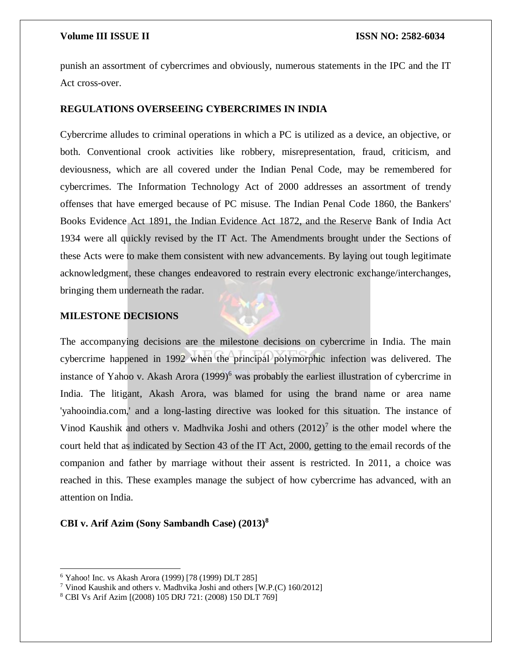punish an assortment of cybercrimes and obviously, numerous statements in the IPC and the IT Act cross-over.

#### **REGULATIONS OVERSEEING CYBERCRIMES IN INDIA**

Cybercrime alludes to criminal operations in which a PC is utilized as a device, an objective, or both. Conventional crook activities like robbery, misrepresentation, fraud, criticism, and deviousness, which are all covered under the Indian Penal Code, may be remembered for cybercrimes. The Information Technology Act of 2000 addresses an assortment of trendy offenses that have emerged because of PC misuse. The Indian Penal Code 1860, the Bankers' Books Evidence Act 1891, the Indian Evidence Act 1872, and the Reserve Bank of India Act 1934 were all quickly revised by the IT Act. The Amendments brought under the Sections of these Acts were to make them consistent with new advancements. By laying out tough legitimate acknowledgment, these changes endeavored to restrain every electronic exchange/interchanges, bringing them underneath the radar.

#### **MILESTONE DECISIONS**



#### **CBI v. Arif Azim (Sony Sambandh Case) (2013)<sup>8</sup>**

<sup>6</sup> Yahoo! Inc. vs Akash Arora (1999) [78 (1999) DLT 285]

<sup>7</sup> Vinod Kaushik and others v. Madhvika Joshi and others [W.P.(C) 160/2012]

<sup>8</sup> CBI Vs Arif Azim [(2008) 105 DRJ 721: (2008) 150 DLT 769]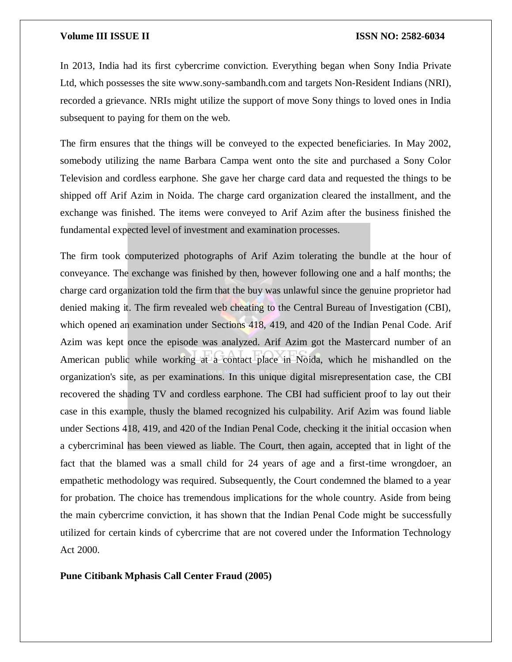In 2013, India had its first cybercrime conviction. Everything began when Sony India Private Ltd, which possesses the site www.sony-sambandh.com and targets Non-Resident Indians (NRI), recorded a grievance. NRIs might utilize the support of move Sony things to loved ones in India subsequent to paying for them on the web.

The firm ensures that the things will be conveyed to the expected beneficiaries. In May 2002, somebody utilizing the name Barbara Campa went onto the site and purchased a Sony Color Television and cordless earphone. She gave her charge card data and requested the things to be shipped off Arif Azim in Noida. The charge card organization cleared the installment, and the exchange was finished. The items were conveyed to Arif Azim after the business finished the fundamental expected level of investment and examination processes.

The firm took computerized photographs of Arif Azim tolerating the bundle at the hour of conveyance. The exchange was finished by then, however following one and a half months; the charge card organization told the firm that the buy was unlawful since the genuine proprietor had denied making it. The firm revealed web cheating to the Central Bureau of Investigation (CBI), which opened an examination under Sections 418, 419, and 420 of the Indian Penal Code. Arif Azim was kept once the episode was analyzed. Arif Azim got the Mastercard number of an American public while working at a contact place in Noida, which he mishandled on the organization's site, as per examinations. In this unique digital misrepresentation case, the CBI recovered the shading TV and cordless earphone. The CBI had sufficient proof to lay out their case in this example, thusly the blamed recognized his culpability. Arif Azim was found liable under Sections 418, 419, and 420 of the Indian Penal Code, checking it the initial occasion when a cybercriminal has been viewed as liable. The Court, then again, accepted that in light of the fact that the blamed was a small child for 24 years of age and a first-time wrongdoer, an empathetic methodology was required. Subsequently, the Court condemned the blamed to a year for probation. The choice has tremendous implications for the whole country. Aside from being the main cybercrime conviction, it has shown that the Indian Penal Code might be successfully utilized for certain kinds of cybercrime that are not covered under the Information Technology Act 2000.

**Pune Citibank Mphasis Call Center Fraud (2005)**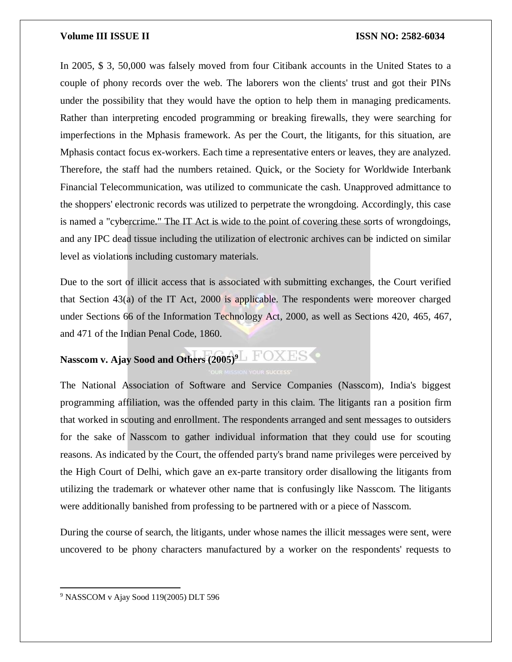In 2005, \$ 3, 50,000 was falsely moved from four Citibank accounts in the United States to a couple of phony records over the web. The laborers won the clients' trust and got their PINs under the possibility that they would have the option to help them in managing predicaments. Rather than interpreting encoded programming or breaking firewalls, they were searching for imperfections in the Mphasis framework. As per the Court, the litigants, for this situation, are Mphasis contact focus ex-workers. Each time a representative enters or leaves, they are analyzed. Therefore, the staff had the numbers retained. Quick, or the Society for Worldwide Interbank Financial Telecommunication, was utilized to communicate the cash. Unapproved admittance to the shoppers' electronic records was utilized to perpetrate the wrongdoing. Accordingly, this case is named a "cybercrime." The IT Act is wide to the point of covering these sorts of wrongdoings, and any IPC dead tissue including the utilization of electronic archives can be indicted on similar level as violations including customary materials.

Due to the sort of illicit access that is associated with submitting exchanges, the Court verified that Section 43(a) of the IT Act, 2000 is applicable. The respondents were moreover charged under Sections 66 of the Information Technology Act, 2000, as well as Sections 420, 465, 467, and 471 of the Indian Penal Code, 1860.

## **Nasscom v. Ajay Sood and Others (2005)<sup>9</sup>**

The National Association of Software and Service Companies (Nasscom), India's biggest programming affiliation, was the offended party in this claim. The litigants ran a position firm that worked in scouting and enrollment. The respondents arranged and sent messages to outsiders for the sake of Nasscom to gather individual information that they could use for scouting reasons. As indicated by the Court, the offended party's brand name privileges were perceived by the High Court of Delhi, which gave an ex-parte transitory order disallowing the litigants from utilizing the trademark or whatever other name that is confusingly like Nasscom. The litigants were additionally banished from professing to be partnered with or a piece of Nasscom.

During the course of search, the litigants, under whose names the illicit messages were sent, were uncovered to be phony characters manufactured by a worker on the respondents' requests to

<sup>9</sup> NASSCOM v Ajay Sood 119(2005) DLT 596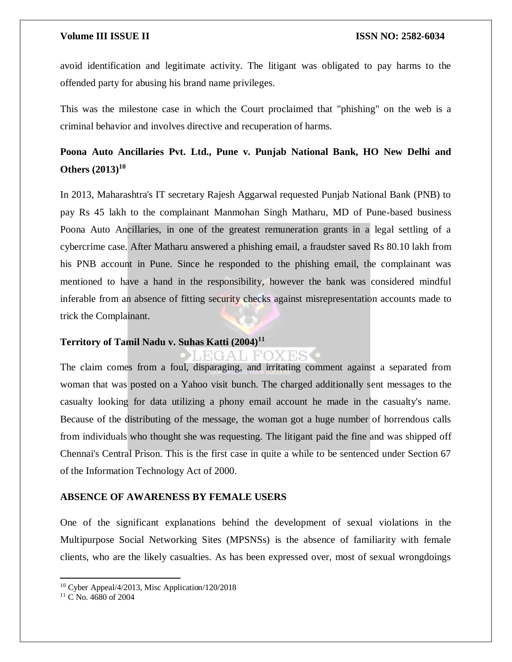avoid identification and legitimate activity. The litigant was obligated to pay harms to the offended party for abusing his brand name privileges.

This was the milestone case in which the Court proclaimed that "phishing" on the web is a criminal behavior and involves directive and recuperation of harms.

### **Poona Auto Ancillaries Pvt. Ltd., Pune v. Punjab National Bank, HO New Delhi and Others (2013)<sup>10</sup>**

In 2013, Maharashtra's IT secretary Rajesh Aggarwal requested Punjab National Bank (PNB) to pay Rs 45 lakh to the complainant Manmohan Singh Matharu, MD of Pune-based business Poona Auto Ancillaries, in one of the greatest remuneration grants in a legal settling of a cybercrime case. After Matharu answered a phishing email, a fraudster saved Rs 80.10 lakh from his PNB account in Pune. Since he responded to the phishing email, the complainant was mentioned to have a hand in the responsibility, however the bank was considered mindful inferable from an absence of fitting security checks against misrepresentation accounts made to trick the Complainant.

### **Territory of Tamil Nadu v. Suhas Katti (2004)<sup>11</sup>**

The claim comes from a foul, disparaging, and irritating comment against a separated from woman that was posted on a Yahoo visit bunch. The charged additionally sent messages to the casualty looking for data utilizing a phony email account he made in the casualty's name. Because of the distributing of the message, the woman got a huge number of horrendous calls from individuals who thought she was requesting. The litigant paid the fine and was shipped off Chennai's Central Prison. This is the first case in quite a while to be sentenced under Section 67 of the Information Technology Act of 2000.

ES.

#### **ABSENCE OF AWARENESS BY FEMALE USERS**

One of the significant explanations behind the development of sexual violations in the Multipurpose Social Networking Sites (MPSNSs) is the absence of familiarity with female clients, who are the likely casualties. As has been expressed over, most of sexual wrongdoings

 $\overline{\phantom{a}}$ 

<sup>10</sup> Cyber Appeal/4/2013, Misc Application/120/2018

<sup>&</sup>lt;sup>11</sup> C No. 4680 of 2004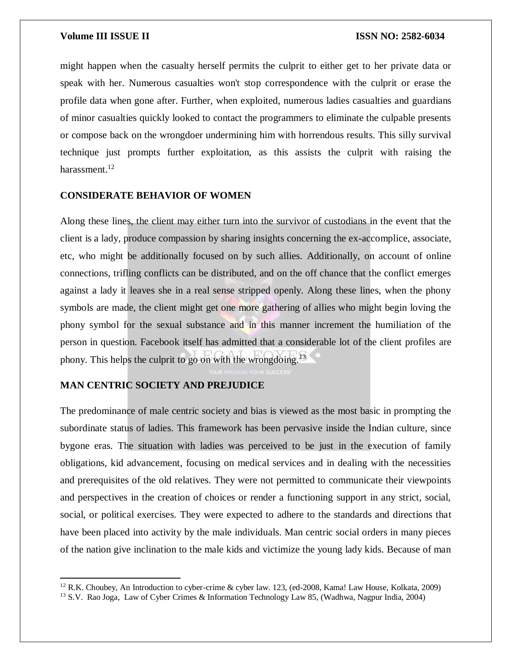might happen when the casualty herself permits the culprit to either get to her private data or speak with her. Numerous casualties won't stop correspondence with the culprit or erase the profile data when gone after. Further, when exploited, numerous ladies casualties and guardians of minor casualties quickly looked to contact the programmers to eliminate the culpable presents or compose back on the wrongdoer undermining him with horrendous results. This silly survival technique just prompts further exploitation, as this assists the culprit with raising the harassment. $12$ 

#### **CONSIDERATE BEHAVIOR OF WOMEN**

Along these lines, the client may either turn into the survivor of custodians in the event that the client is a lady, produce compassion by sharing insights concerning the ex-accomplice, associate, etc, who might be additionally focused on by such allies. Additionally, on account of online connections, trifling conflicts can be distributed, and on the off chance that the conflict emerges against a lady it leaves she in a real sense stripped openly. Along these lines, when the phony symbols are made, the client might get one more gathering of allies who might begin loving the phony symbol for the sexual substance and in this manner increment the humiliation of the person in question. Facebook itself has admitted that a considerable lot of the client profiles are phony. This helps the culprit to go on with the wrongdoing.<sup>13</sup>

### **MAN CENTRIC SOCIETY AND PREJUDICE**

 $\overline{\phantom{a}}$ 

The predominance of male centric society and bias is viewed as the most basic in prompting the subordinate status of ladies. This framework has been pervasive inside the Indian culture, since bygone eras. The situation with ladies was perceived to be just in the execution of family obligations, kid advancement, focusing on medical services and in dealing with the necessities and prerequisites of the old relatives. They were not permitted to communicate their viewpoints and perspectives in the creation of choices or render a functioning support in any strict, social, social, or political exercises. They were expected to adhere to the standards and directions that have been placed into activity by the male individuals. Man centric social orders in many pieces of the nation give inclination to the male kids and victimize the young lady kids. Because of man

<sup>12</sup> R.K. Choubey, An Introduction to cyber-crime & cyber law. 123, (ed-2008, Kama! Law House, Kolkata, 2009)

<sup>13</sup> S.V. Rao Joga, Law of Cyber Crimes & Information Technology Law 85, (Wadhwa, Nagpur India, 2004)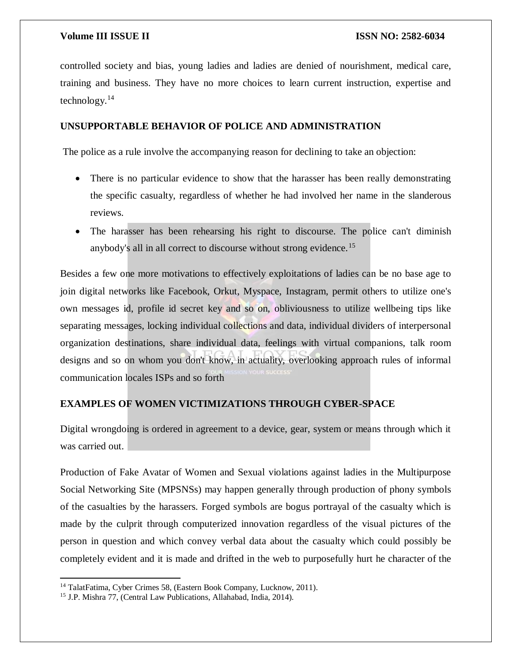controlled society and bias, young ladies and ladies are denied of nourishment, medical care, training and business. They have no more choices to learn current instruction, expertise and technology.<sup>14</sup>

### **UNSUPPORTABLE BEHAVIOR OF POLICE AND ADMINISTRATION**

The police as a rule involve the accompanying reason for declining to take an objection:

- There is no particular evidence to show that the harasser has been really demonstrating the specific casualty, regardless of whether he had involved her name in the slanderous reviews.
- The harasser has been rehearsing his right to discourse. The police can't diminish anybody's all in all correct to discourse without strong evidence.<sup>15</sup>

Besides a few one more motivations to effectively exploitations of ladies can be no base age to join digital networks like Facebook, Orkut, Myspace, Instagram, permit others to utilize one's own messages id, profile id secret key and so on, obliviousness to utilize wellbeing tips like separating messages, locking individual collections and data, individual dividers of interpersonal organization destinations, share individual data, feelings with virtual companions, talk room designs and so on whom you don't know, in actuality, overlooking approach rules of informal communication locales ISPs and so forth

### **EXAMPLES OF WOMEN VICTIMIZATIONS THROUGH CYBER-SPACE**

Digital wrongdoing is ordered in agreement to a device, gear, system or means through which it was carried out.

Production of Fake Avatar of Women and Sexual violations against ladies in the Multipurpose Social Networking Site (MPSNSs) may happen generally through production of phony symbols of the casualties by the harassers. Forged symbols are bogus portrayal of the casualty which is made by the culprit through computerized innovation regardless of the visual pictures of the person in question and which convey verbal data about the casualty which could possibly be completely evident and it is made and drifted in the web to purposefully hurt he character of the

 $\overline{\phantom{a}}$ 

<sup>14</sup> TalatFatima, Cyber Crimes 58, (Eastern Book Company, Lucknow, 2011).

<sup>15</sup> J.P. Mishra 77, (Central Law Publications, Allahabad, India, 2014).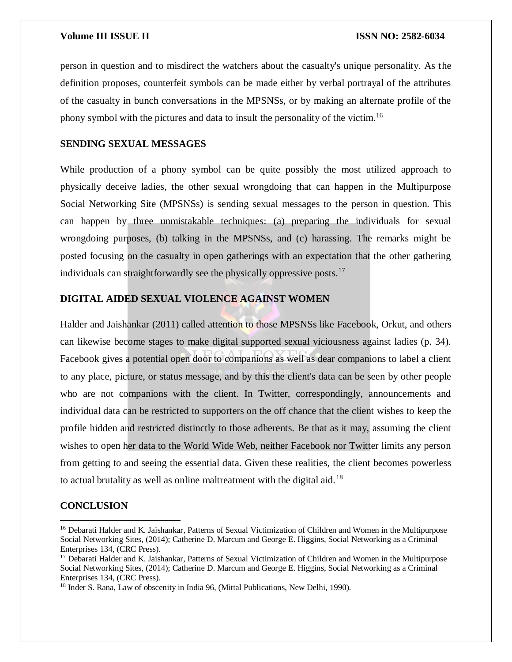person in question and to misdirect the watchers about the casualty's unique personality. As the definition proposes, counterfeit symbols can be made either by verbal portrayal of the attributes of the casualty in bunch conversations in the MPSNSs, or by making an alternate profile of the phony symbol with the pictures and data to insult the personality of the victim.<sup>16</sup>

#### **SENDING SEXUAL MESSAGES**

While production of a phony symbol can be quite possibly the most utilized approach to physically deceive ladies, the other sexual wrongdoing that can happen in the Multipurpose Social Networking Site (MPSNSs) is sending sexual messages to the person in question. This can happen by three unmistakable techniques: (a) preparing the individuals for sexual wrongdoing purposes, (b) talking in the MPSNSs, and (c) harassing. The remarks might be posted focusing on the casualty in open gatherings with an expectation that the other gathering individuals can straightforwardly see the physically oppressive posts.<sup>17</sup>

### **DIGITAL AIDED SEXUAL VIOLENCE AGAINST WOMEN**

Halder and Jaishankar (2011) called attention to those MPSNSs like Facebook, Orkut, and others can likewise become stages to make digital supported sexual viciousness against ladies (p. 34). Facebook gives a potential open door to companions as well as dear companions to label a client to any place, picture, or status message, and by this the client's data can be seen by other people who are not companions with the client. In Twitter, correspondingly, announcements and individual data can be restricted to supporters on the off chance that the client wishes to keep the profile hidden and restricted distinctly to those adherents. Be that as it may, assuming the client wishes to open her data to the World Wide Web, neither Facebook nor Twitter limits any person from getting to and seeing the essential data. Given these realities, the client becomes powerless to actual brutality as well as online maltreatment with the digital aid.<sup>18</sup>

#### **CONCLUSION**

<sup>&</sup>lt;sup>16</sup> Debarati Halder and K. Jaishankar, Patterns of Sexual Victimization of Children and Women in the Multipurpose Social Networking Sites, (2014); Catherine D. Marcum and George E. Higgins, Social Networking as a Criminal Enterprises 134, (CRC Press).

<sup>&</sup>lt;sup>17</sup> Debarati Halder and K. Jaishankar, Patterns of Sexual Victimization of Children and Women in the Multipurpose Social Networking Sites, (2014); Catherine D. Marcum and George E. Higgins, Social Networking as a Criminal Enterprises 134, (CRC Press).

<sup>&</sup>lt;sup>18</sup> Inder S. Rana, Law of obscenity in India 96, (Mittal Publications, New Delhi, 1990).